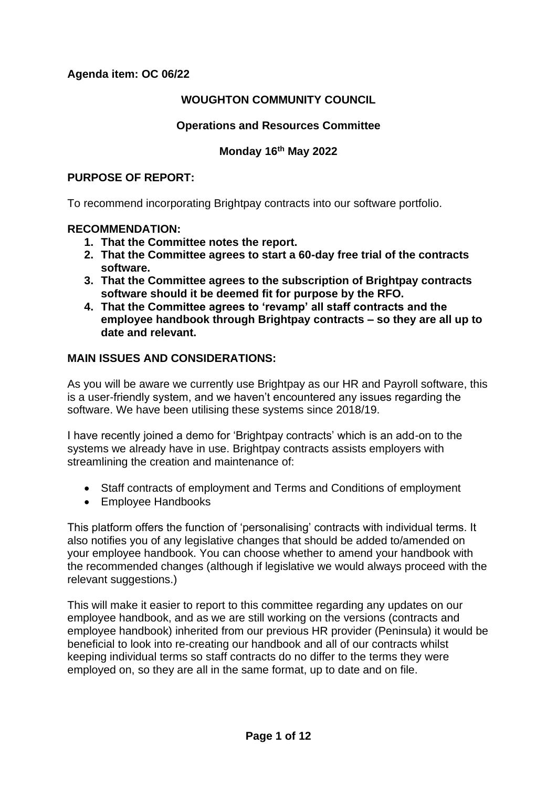**Agenda item: OC 06/22**

### **WOUGHTON COMMUNITY COUNCIL**

### **Operations and Resources Committee**

### **Monday 16th May 2022**

#### **PURPOSE OF REPORT:**

To recommend incorporating Brightpay contracts into our software portfolio.

#### **RECOMMENDATION:**

- **1. That the Committee notes the report.**
- **2. That the Committee agrees to start a 60-day free trial of the contracts software.**
- **3. That the Committee agrees to the subscription of Brightpay contracts software should it be deemed fit for purpose by the RFO.**
- **4. That the Committee agrees to 'revamp' all staff contracts and the employee handbook through Brightpay contracts – so they are all up to date and relevant.**

### **MAIN ISSUES AND CONSIDERATIONS:**

As you will be aware we currently use Brightpay as our HR and Payroll software, this is a user-friendly system, and we haven't encountered any issues regarding the software. We have been utilising these systems since 2018/19.

I have recently joined a demo for 'Brightpay contracts' which is an add-on to the systems we already have in use. Brightpay contracts assists employers with streamlining the creation and maintenance of:

- Staff contracts of employment and Terms and Conditions of employment
- Employee Handbooks

This platform offers the function of 'personalising' contracts with individual terms. It also notifies you of any legislative changes that should be added to/amended on your employee handbook. You can choose whether to amend your handbook with the recommended changes (although if legislative we would always proceed with the relevant suggestions.)

This will make it easier to report to this committee regarding any updates on our employee handbook, and as we are still working on the versions (contracts and employee handbook) inherited from our previous HR provider (Peninsula) it would be beneficial to look into re-creating our handbook and all of our contracts whilst keeping individual terms so staff contracts do no differ to the terms they were employed on, so they are all in the same format, up to date and on file.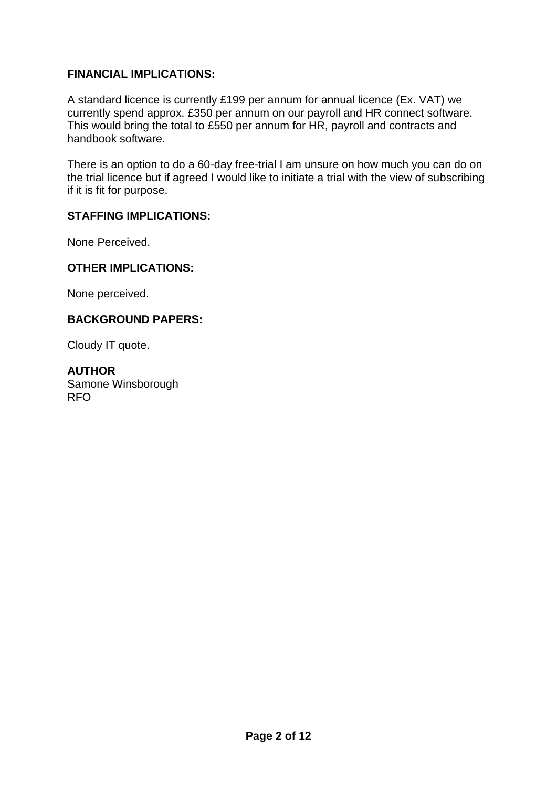### **FINANCIAL IMPLICATIONS:**

A standard licence is currently £199 per annum for annual licence (Ex. VAT) we currently spend approx. £350 per annum on our payroll and HR connect software. This would bring the total to £550 per annum for HR, payroll and contracts and handbook software.

There is an option to do a 60-day free-trial I am unsure on how much you can do on the trial licence but if agreed I would like to initiate a trial with the view of subscribing if it is fit for purpose.

#### **STAFFING IMPLICATIONS:**

None Perceived.

#### **OTHER IMPLICATIONS:**

None perceived.

#### **BACKGROUND PAPERS:**

Cloudy IT quote.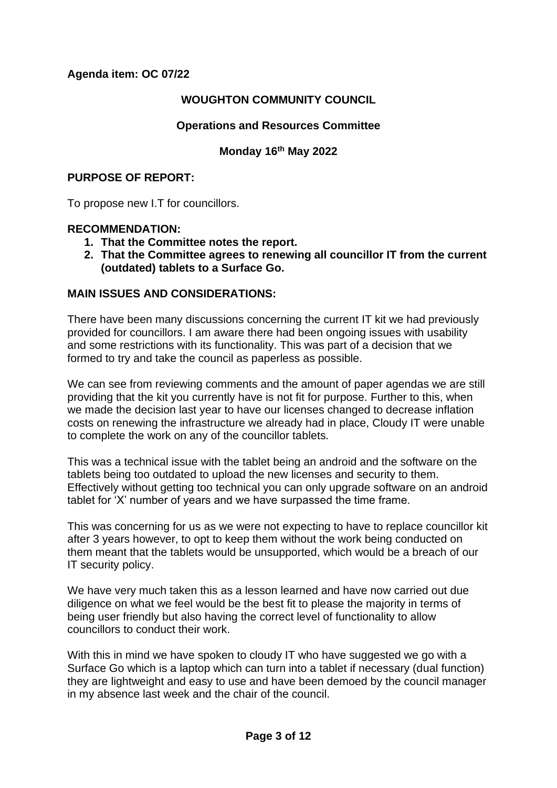**Agenda item: OC 07/22** 

### **WOUGHTON COMMUNITY COUNCIL**

### **Operations and Resources Committee**

**Monday 16th May 2022**

#### **PURPOSE OF REPORT:**

To propose new I.T for councillors.

#### **RECOMMENDATION:**

- **1. That the Committee notes the report.**
- **2. That the Committee agrees to renewing all councillor IT from the current (outdated) tablets to a Surface Go.**

### **MAIN ISSUES AND CONSIDERATIONS:**

There have been many discussions concerning the current IT kit we had previously provided for councillors. I am aware there had been ongoing issues with usability and some restrictions with its functionality. This was part of a decision that we formed to try and take the council as paperless as possible.

We can see from reviewing comments and the amount of paper agendas we are still providing that the kit you currently have is not fit for purpose. Further to this, when we made the decision last year to have our licenses changed to decrease inflation costs on renewing the infrastructure we already had in place, Cloudy IT were unable to complete the work on any of the councillor tablets.

This was a technical issue with the tablet being an android and the software on the tablets being too outdated to upload the new licenses and security to them. Effectively without getting too technical you can only upgrade software on an android tablet for 'X' number of years and we have surpassed the time frame.

This was concerning for us as we were not expecting to have to replace councillor kit after 3 years however, to opt to keep them without the work being conducted on them meant that the tablets would be unsupported, which would be a breach of our IT security policy.

We have very much taken this as a lesson learned and have now carried out due diligence on what we feel would be the best fit to please the majority in terms of being user friendly but also having the correct level of functionality to allow councillors to conduct their work.

With this in mind we have spoken to cloudy IT who have suggested we go with a Surface Go which is a laptop which can turn into a tablet if necessary (dual function) they are lightweight and easy to use and have been demoed by the council manager in my absence last week and the chair of the council.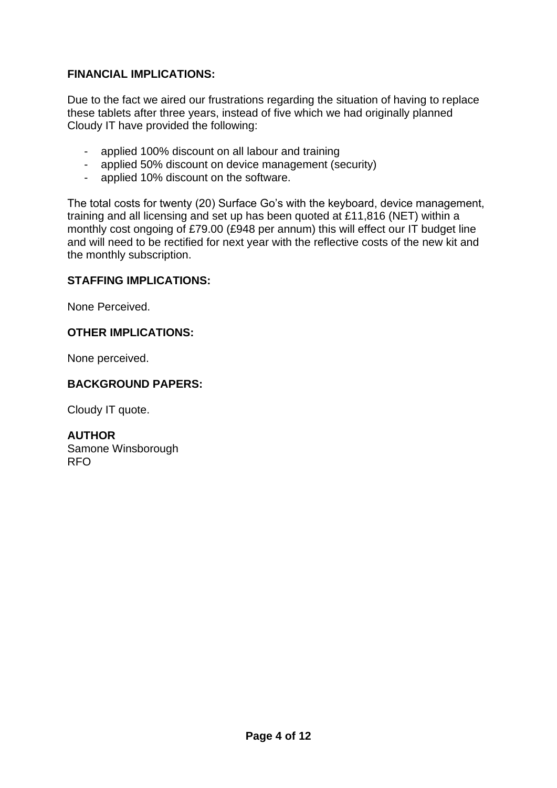### **FINANCIAL IMPLICATIONS:**

Due to the fact we aired our frustrations regarding the situation of having to replace these tablets after three years, instead of five which we had originally planned Cloudy IT have provided the following:

- applied 100% discount on all labour and training
- applied 50% discount on device management (security)
- applied 10% discount on the software.

The total costs for twenty (20) Surface Go's with the keyboard, device management, training and all licensing and set up has been quoted at £11,816 (NET) within a monthly cost ongoing of £79.00 (£948 per annum) this will effect our IT budget line and will need to be rectified for next year with the reflective costs of the new kit and the monthly subscription.

#### **STAFFING IMPLICATIONS:**

None Perceived.

### **OTHER IMPLICATIONS:**

None perceived.

### **BACKGROUND PAPERS:**

Cloudy IT quote.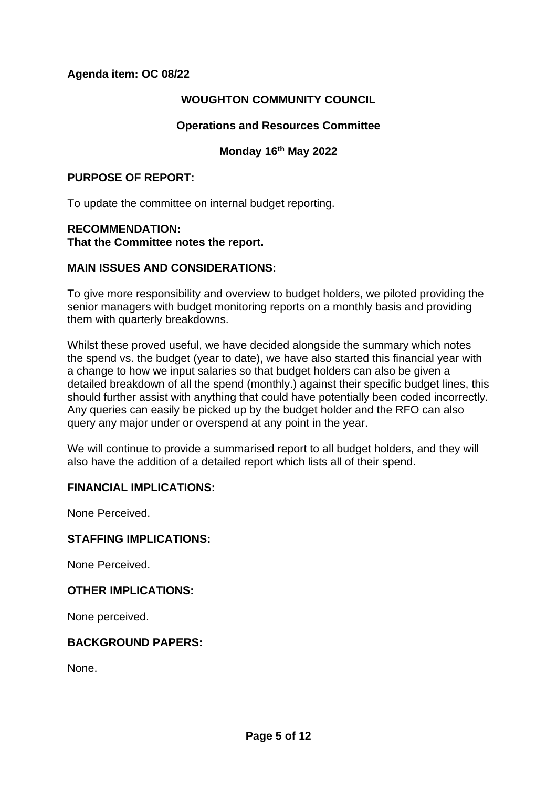### **Agenda item: OC 08/22**

### **WOUGHTON COMMUNITY COUNCIL**

### **Operations and Resources Committee**

### **Monday 16th May 2022**

#### **PURPOSE OF REPORT:**

To update the committee on internal budget reporting.

#### **RECOMMENDATION: That the Committee notes the report.**

#### **MAIN ISSUES AND CONSIDERATIONS:**

To give more responsibility and overview to budget holders, we piloted providing the senior managers with budget monitoring reports on a monthly basis and providing them with quarterly breakdowns.

Whilst these proved useful, we have decided alongside the summary which notes the spend vs. the budget (year to date), we have also started this financial year with a change to how we input salaries so that budget holders can also be given a detailed breakdown of all the spend (monthly.) against their specific budget lines, this should further assist with anything that could have potentially been coded incorrectly. Any queries can easily be picked up by the budget holder and the RFO can also query any major under or overspend at any point in the year.

We will continue to provide a summarised report to all budget holders, and they will also have the addition of a detailed report which lists all of their spend.

### **FINANCIAL IMPLICATIONS:**

None Perceived.

#### **STAFFING IMPLICATIONS:**

None Perceived.

### **OTHER IMPLICATIONS:**

None perceived.

#### **BACKGROUND PAPERS:**

None.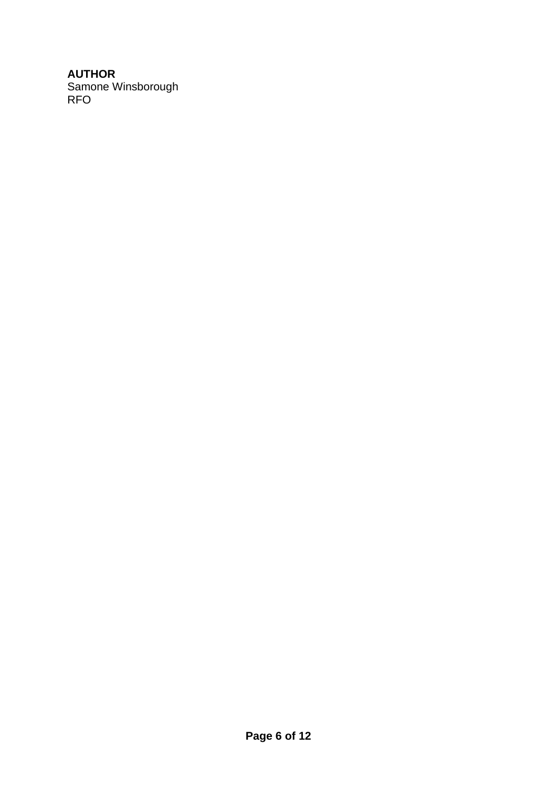# **AUTHOR**

Samone Winsborough RFO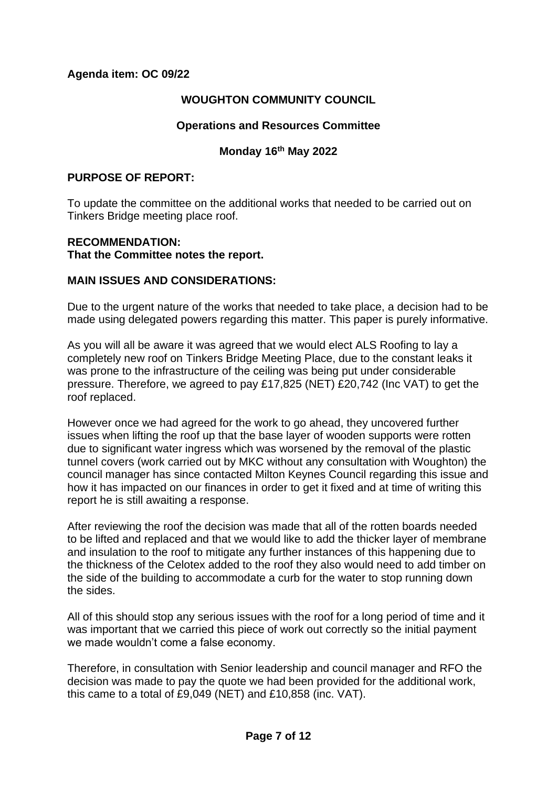### **Agenda item: OC 09/22**

### **WOUGHTON COMMUNITY COUNCIL**

### **Operations and Resources Committee**

### **Monday 16th May 2022**

#### **PURPOSE OF REPORT:**

To update the committee on the additional works that needed to be carried out on Tinkers Bridge meeting place roof.

### **RECOMMENDATION:**

**That the Committee notes the report.** 

### **MAIN ISSUES AND CONSIDERATIONS:**

Due to the urgent nature of the works that needed to take place, a decision had to be made using delegated powers regarding this matter. This paper is purely informative.

As you will all be aware it was agreed that we would elect ALS Roofing to lay a completely new roof on Tinkers Bridge Meeting Place, due to the constant leaks it was prone to the infrastructure of the ceiling was being put under considerable pressure. Therefore, we agreed to pay £17,825 (NET) £20,742 (Inc VAT) to get the roof replaced.

However once we had agreed for the work to go ahead, they uncovered further issues when lifting the roof up that the base layer of wooden supports were rotten due to significant water ingress which was worsened by the removal of the plastic tunnel covers (work carried out by MKC without any consultation with Woughton) the council manager has since contacted Milton Keynes Council regarding this issue and how it has impacted on our finances in order to get it fixed and at time of writing this report he is still awaiting a response.

After reviewing the roof the decision was made that all of the rotten boards needed to be lifted and replaced and that we would like to add the thicker layer of membrane and insulation to the roof to mitigate any further instances of this happening due to the thickness of the Celotex added to the roof they also would need to add timber on the side of the building to accommodate a curb for the water to stop running down the sides.

All of this should stop any serious issues with the roof for a long period of time and it was important that we carried this piece of work out correctly so the initial payment we made wouldn't come a false economy.

Therefore, in consultation with Senior leadership and council manager and RFO the decision was made to pay the quote we had been provided for the additional work, this came to a total of £9,049 (NET) and £10,858 (inc. VAT).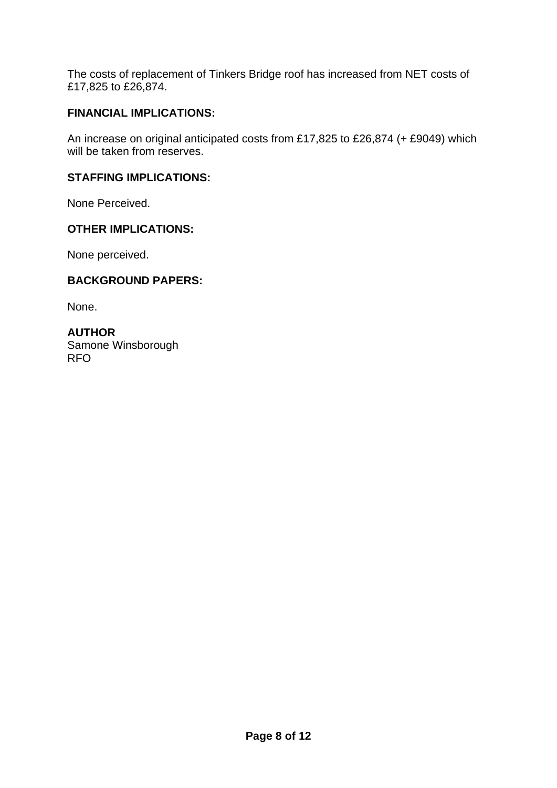The costs of replacement of Tinkers Bridge roof has increased from NET costs of £17,825 to £26,874.

### **FINANCIAL IMPLICATIONS:**

An increase on original anticipated costs from £17,825 to £26,874 (+ £9049) which will be taken from reserves.

### **STAFFING IMPLICATIONS:**

None Perceived.

### **OTHER IMPLICATIONS:**

None perceived.

### **BACKGROUND PAPERS:**

None.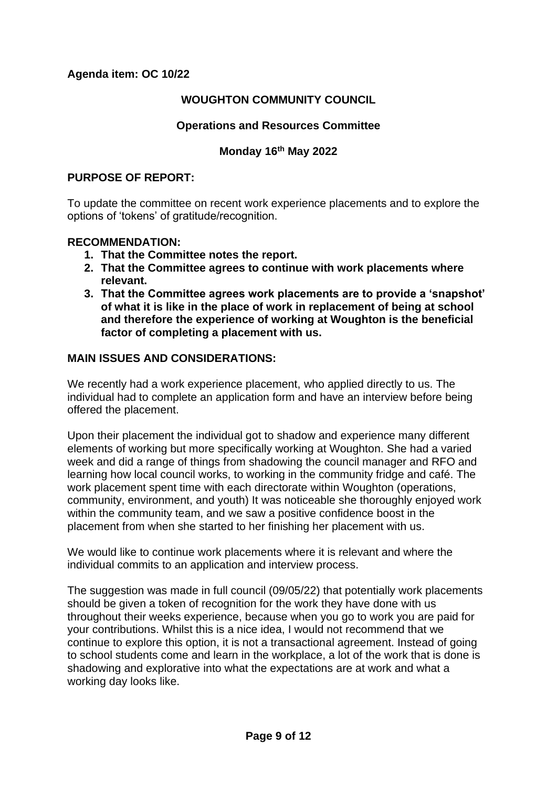### **Agenda item: OC 10/22**

### **WOUGHTON COMMUNITY COUNCIL**

### **Operations and Resources Committee**

### **Monday 16th May 2022**

#### **PURPOSE OF REPORT:**

To update the committee on recent work experience placements and to explore the options of 'tokens' of gratitude/recognition.

#### **RECOMMENDATION:**

- **1. That the Committee notes the report.**
- **2. That the Committee agrees to continue with work placements where relevant.**
- **3. That the Committee agrees work placements are to provide a 'snapshot' of what it is like in the place of work in replacement of being at school and therefore the experience of working at Woughton is the beneficial factor of completing a placement with us.**

### **MAIN ISSUES AND CONSIDERATIONS:**

We recently had a work experience placement, who applied directly to us. The individual had to complete an application form and have an interview before being offered the placement.

Upon their placement the individual got to shadow and experience many different elements of working but more specifically working at Woughton. She had a varied week and did a range of things from shadowing the council manager and RFO and learning how local council works, to working in the community fridge and café. The work placement spent time with each directorate within Woughton (operations, community, environment, and youth) It was noticeable she thoroughly enjoyed work within the community team, and we saw a positive confidence boost in the placement from when she started to her finishing her placement with us.

We would like to continue work placements where it is relevant and where the individual commits to an application and interview process.

The suggestion was made in full council (09/05/22) that potentially work placements should be given a token of recognition for the work they have done with us throughout their weeks experience, because when you go to work you are paid for your contributions. Whilst this is a nice idea, I would not recommend that we continue to explore this option, it is not a transactional agreement. Instead of going to school students come and learn in the workplace, a lot of the work that is done is shadowing and explorative into what the expectations are at work and what a working day looks like.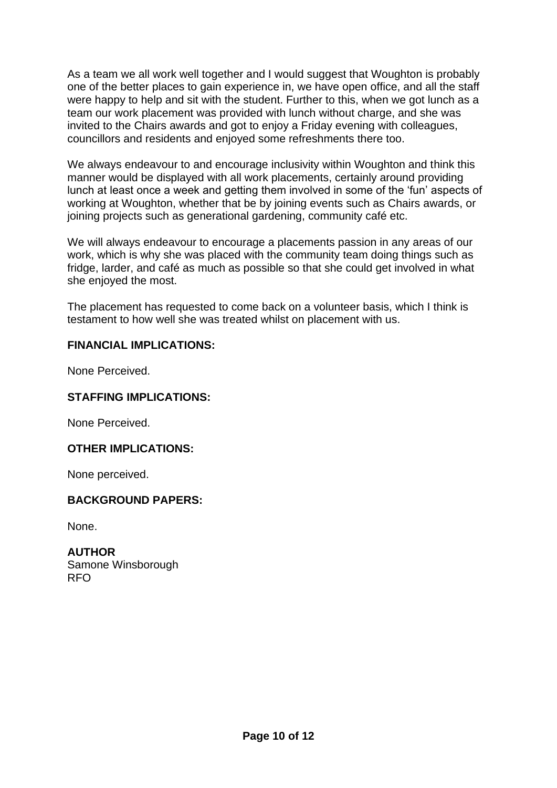As a team we all work well together and I would suggest that Woughton is probably one of the better places to gain experience in, we have open office, and all the staff were happy to help and sit with the student. Further to this, when we got lunch as a team our work placement was provided with lunch without charge, and she was invited to the Chairs awards and got to enjoy a Friday evening with colleagues, councillors and residents and enjoyed some refreshments there too.

We always endeavour to and encourage inclusivity within Woughton and think this manner would be displayed with all work placements, certainly around providing lunch at least once a week and getting them involved in some of the 'fun' aspects of working at Woughton, whether that be by joining events such as Chairs awards, or joining projects such as generational gardening, community café etc.

We will always endeavour to encourage a placements passion in any areas of our work, which is why she was placed with the community team doing things such as fridge, larder, and café as much as possible so that she could get involved in what she enjoyed the most.

The placement has requested to come back on a volunteer basis, which I think is testament to how well she was treated whilst on placement with us.

### **FINANCIAL IMPLICATIONS:**

None Perceived.

#### **STAFFING IMPLICATIONS:**

None Perceived.

#### **OTHER IMPLICATIONS:**

None perceived.

### **BACKGROUND PAPERS:**

None.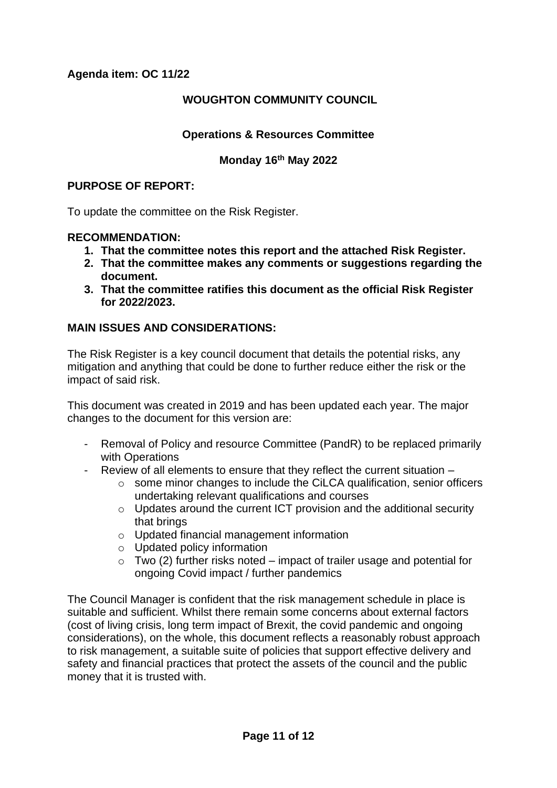### **Agenda item: OC 11/22**

### **WOUGHTON COMMUNITY COUNCIL**

### **Operations & Resources Committee**

### **Monday 16th May 2022**

#### **PURPOSE OF REPORT:**

To update the committee on the Risk Register.

#### **RECOMMENDATION:**

- **1. That the committee notes this report and the attached Risk Register.**
- **2. That the committee makes any comments or suggestions regarding the document.**
- **3. That the committee ratifies this document as the official Risk Register for 2022/2023.**

### **MAIN ISSUES AND CONSIDERATIONS:**

The Risk Register is a key council document that details the potential risks, any mitigation and anything that could be done to further reduce either the risk or the impact of said risk.

This document was created in 2019 and has been updated each year. The major changes to the document for this version are:

- Removal of Policy and resource Committee (PandR) to be replaced primarily with Operations
- Review of all elements to ensure that they reflect the current situation
	- o some minor changes to include the CiLCA qualification, senior officers undertaking relevant qualifications and courses
	- o Updates around the current ICT provision and the additional security that brings
	- o Updated financial management information
	- o Updated policy information
	- $\circ$  Two (2) further risks noted impact of trailer usage and potential for ongoing Covid impact / further pandemics

The Council Manager is confident that the risk management schedule in place is suitable and sufficient. Whilst there remain some concerns about external factors (cost of living crisis, long term impact of Brexit, the covid pandemic and ongoing considerations), on the whole, this document reflects a reasonably robust approach to risk management, a suitable suite of policies that support effective delivery and safety and financial practices that protect the assets of the council and the public money that it is trusted with.